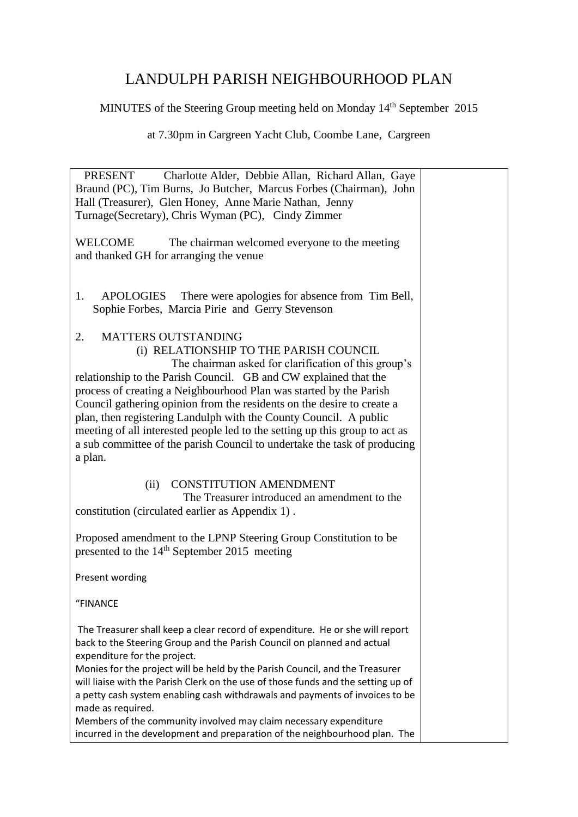## LANDULPH PARISH NEIGHBOURHOOD PLAN

MINUTES of the Steering Group meeting held on Monday 14<sup>th</sup> September 2015

at 7.30pm in Cargreen Yacht Club, Coombe Lane, Cargreen

| Charlotte Alder, Debbie Allan, Richard Allan, Gaye<br>PRESENT<br>Braund (PC), Tim Burns, Jo Butcher, Marcus Forbes (Chairman), John<br>Hall (Treasurer), Glen Honey, Anne Marie Nathan, Jenny<br>Turnage (Secretary), Chris Wyman (PC), Cindy Zimmer                                                                                                                                                                                                                                                                                                                                              |  |
|---------------------------------------------------------------------------------------------------------------------------------------------------------------------------------------------------------------------------------------------------------------------------------------------------------------------------------------------------------------------------------------------------------------------------------------------------------------------------------------------------------------------------------------------------------------------------------------------------|--|
| <b>WELCOME</b><br>The chairman welcomed everyone to the meeting<br>and thanked GH for arranging the venue                                                                                                                                                                                                                                                                                                                                                                                                                                                                                         |  |
| There were apologies for absence from Tim Bell,<br><b>APOLOGIES</b><br>1.<br>Sophie Forbes, Marcia Pirie and Gerry Stevenson                                                                                                                                                                                                                                                                                                                                                                                                                                                                      |  |
| <b>MATTERS OUTSTANDING</b><br>2.<br>(i) RELATIONSHIP TO THE PARISH COUNCIL<br>The chairman asked for clarification of this group's<br>relationship to the Parish Council. GB and CW explained that the<br>process of creating a Neighbourhood Plan was started by the Parish<br>Council gathering opinion from the residents on the desire to create a<br>plan, then registering Landulph with the County Council. A public<br>meeting of all interested people led to the setting up this group to act as<br>a sub committee of the parish Council to undertake the task of producing<br>a plan. |  |
| <b>CONSTITUTION AMENDMENT</b><br>(ii)<br>The Treasurer introduced an amendment to the<br>constitution (circulated earlier as Appendix 1).                                                                                                                                                                                                                                                                                                                                                                                                                                                         |  |
| Proposed amendment to the LPNP Steering Group Constitution to be<br>presented to the 14 <sup>th</sup> September 2015 meeting                                                                                                                                                                                                                                                                                                                                                                                                                                                                      |  |
| Present wording                                                                                                                                                                                                                                                                                                                                                                                                                                                                                                                                                                                   |  |
| "FINANCE                                                                                                                                                                                                                                                                                                                                                                                                                                                                                                                                                                                          |  |
| The Treasurer shall keep a clear record of expenditure. He or she will report<br>back to the Steering Group and the Parish Council on planned and actual<br>expenditure for the project.<br>Monies for the project will be held by the Parish Council, and the Treasurer<br>will liaise with the Parish Clerk on the use of those funds and the setting up of<br>a petty cash system enabling cash withdrawals and payments of invoices to be<br>made as required.                                                                                                                                |  |
| Members of the community involved may claim necessary expenditure<br>incurred in the development and preparation of the neighbourhood plan. The                                                                                                                                                                                                                                                                                                                                                                                                                                                   |  |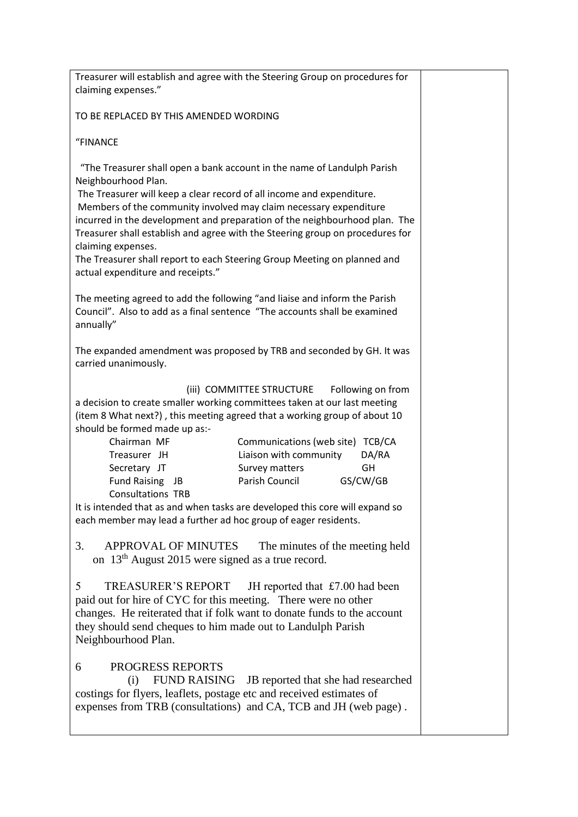| Treasurer will establish and agree with the Steering Group on procedures for<br>claiming expenses."                                                                                                                                                                                                                                                                                                                                                                                                                                                                                                                                                                                                                                                                                                                                                                                                                                                                                                                                                                                      |  |
|------------------------------------------------------------------------------------------------------------------------------------------------------------------------------------------------------------------------------------------------------------------------------------------------------------------------------------------------------------------------------------------------------------------------------------------------------------------------------------------------------------------------------------------------------------------------------------------------------------------------------------------------------------------------------------------------------------------------------------------------------------------------------------------------------------------------------------------------------------------------------------------------------------------------------------------------------------------------------------------------------------------------------------------------------------------------------------------|--|
| TO BE REPLACED BY THIS AMENDED WORDING                                                                                                                                                                                                                                                                                                                                                                                                                                                                                                                                                                                                                                                                                                                                                                                                                                                                                                                                                                                                                                                   |  |
| "FINANCE                                                                                                                                                                                                                                                                                                                                                                                                                                                                                                                                                                                                                                                                                                                                                                                                                                                                                                                                                                                                                                                                                 |  |
| "The Treasurer shall open a bank account in the name of Landulph Parish<br>Neighbourhood Plan.<br>The Treasurer will keep a clear record of all income and expenditure.<br>Members of the community involved may claim necessary expenditure<br>incurred in the development and preparation of the neighbourhood plan. The<br>Treasurer shall establish and agree with the Steering group on procedures for<br>claiming expenses.<br>The Treasurer shall report to each Steering Group Meeting on planned and<br>actual expenditure and receipts."                                                                                                                                                                                                                                                                                                                                                                                                                                                                                                                                       |  |
| The meeting agreed to add the following "and liaise and inform the Parish<br>Council". Also to add as a final sentence "The accounts shall be examined<br>annually"                                                                                                                                                                                                                                                                                                                                                                                                                                                                                                                                                                                                                                                                                                                                                                                                                                                                                                                      |  |
| The expanded amendment was proposed by TRB and seconded by GH. It was<br>carried unanimously.                                                                                                                                                                                                                                                                                                                                                                                                                                                                                                                                                                                                                                                                                                                                                                                                                                                                                                                                                                                            |  |
| (iii) COMMITTEE STRUCTURE Following on from<br>a decision to create smaller working committees taken at our last meeting<br>(item 8 What next?), this meeting agreed that a working group of about 10<br>should be formed made up as:-<br>Chairman MF<br>Communications (web site) TCB/CA<br>Liaison with community<br>DA/RA<br>Treasurer JH<br>Secretary JT<br>Survey matters<br>GH<br>Fund Raising JB<br>Parish Council<br>GS/CW/GB<br><b>Consultations TRB</b><br>It is intended that as and when tasks are developed this core will expand so<br>each member may lead a further ad hoc group of eager residents.<br><b>APPROVAL OF MINUTES</b><br>3.<br>The minutes of the meeting held<br>on 13 <sup>th</sup> August 2015 were signed as a true record.<br>5<br>TREASURER'S REPORT<br>JH reported that $£7.00$ had been<br>paid out for hire of CYC for this meeting. There were no other<br>changes. He reiterated that if folk want to donate funds to the account<br>they should send cheques to him made out to Landulph Parish<br>Neighbourhood Plan.<br>PROGRESS REPORTS<br>6 |  |
| FUND RAISING JB reported that she had researched<br>(i)<br>costings for flyers, leaflets, postage etc and received estimates of<br>expenses from TRB (consultations) and CA, TCB and JH (web page).                                                                                                                                                                                                                                                                                                                                                                                                                                                                                                                                                                                                                                                                                                                                                                                                                                                                                      |  |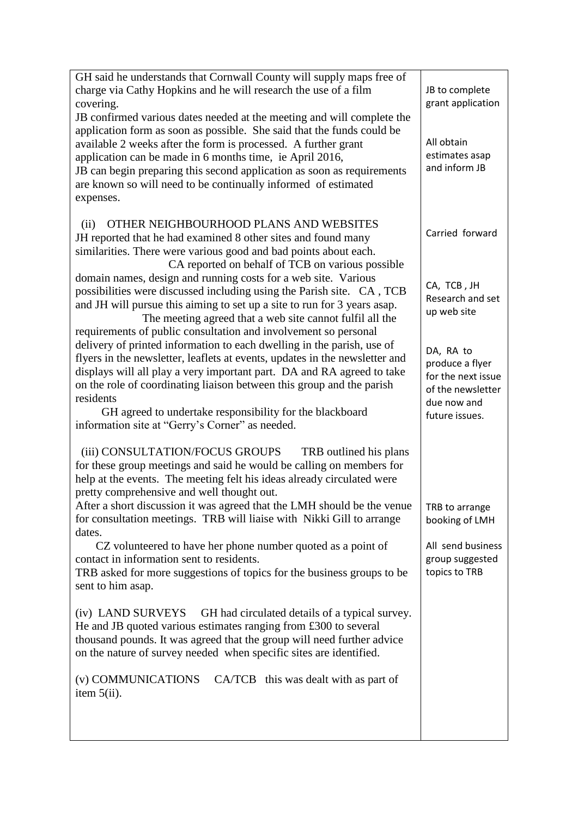| GH said he understands that Cornwall County will supply maps free of                                                                                                                                                                                                                                                                                                                                                                    |                                                                         |
|-----------------------------------------------------------------------------------------------------------------------------------------------------------------------------------------------------------------------------------------------------------------------------------------------------------------------------------------------------------------------------------------------------------------------------------------|-------------------------------------------------------------------------|
| charge via Cathy Hopkins and he will research the use of a film                                                                                                                                                                                                                                                                                                                                                                         | JB to complete                                                          |
| covering.                                                                                                                                                                                                                                                                                                                                                                                                                               | grant application                                                       |
| JB confirmed various dates needed at the meeting and will complete the<br>application form as soon as possible. She said that the funds could be<br>available 2 weeks after the form is processed. A further grant<br>application can be made in 6 months time, ie April 2016,<br>JB can begin preparing this second application as soon as requirements<br>are known so will need to be continually informed of estimated<br>expenses. | All obtain<br>estimates asap<br>and inform JB                           |
|                                                                                                                                                                                                                                                                                                                                                                                                                                         |                                                                         |
| OTHER NEIGHBOURHOOD PLANS AND WEBSITES<br>(ii)<br>JH reported that he had examined 8 other sites and found many<br>similarities. There were various good and bad points about each.<br>CA reported on behalf of TCB on various possible                                                                                                                                                                                                 | Carried forward                                                         |
| domain names, design and running costs for a web site. Various                                                                                                                                                                                                                                                                                                                                                                          | CA, TCB, JH                                                             |
| possibilities were discussed including using the Parish site. CA, TCB<br>and JH will pursue this aiming to set up a site to run for 3 years asap.<br>The meeting agreed that a web site cannot fulfil all the                                                                                                                                                                                                                           | Research and set<br>up web site                                         |
| requirements of public consultation and involvement so personal                                                                                                                                                                                                                                                                                                                                                                         |                                                                         |
| delivery of printed information to each dwelling in the parish, use of<br>flyers in the newsletter, leaflets at events, updates in the newsletter and<br>displays will all play a very important part. DA and RA agreed to take<br>on the role of coordinating liaison between this group and the parish<br>residents                                                                                                                   | DA, RA to<br>produce a flyer<br>for the next issue<br>of the newsletter |
| GH agreed to undertake responsibility for the blackboard<br>information site at "Gerry's Corner" as needed.                                                                                                                                                                                                                                                                                                                             | due now and<br>future issues.                                           |
| (iii) CONSULTATION/FOCUS GROUPS<br>TRB outlined his plans<br>for these group meetings and said he would be calling on members for<br>help at the events. The meeting felt his ideas already circulated were<br>pretty comprehensive and well thought out.                                                                                                                                                                               |                                                                         |
| After a short discussion it was agreed that the LMH should be the venue<br>for consultation meetings. TRB will liaise with Nikki Gill to arrange                                                                                                                                                                                                                                                                                        | TRB to arrange<br>booking of LMH                                        |
| dates.<br>CZ volunteered to have her phone number quoted as a point of<br>contact in information sent to residents.<br>TRB asked for more suggestions of topics for the business groups to be<br>sent to him asap.                                                                                                                                                                                                                      | All send business<br>group suggested<br>topics to TRB                   |
| (iv) LAND SURVEYS<br>GH had circulated details of a typical survey.<br>He and JB quoted various estimates ranging from £300 to several<br>thousand pounds. It was agreed that the group will need further advice<br>on the nature of survey needed when specific sites are identified.                                                                                                                                                  |                                                                         |
| (v) COMMUNICATIONS CA/TCB this was dealt with as part of<br>item $5(ii)$ .                                                                                                                                                                                                                                                                                                                                                              |                                                                         |
|                                                                                                                                                                                                                                                                                                                                                                                                                                         |                                                                         |